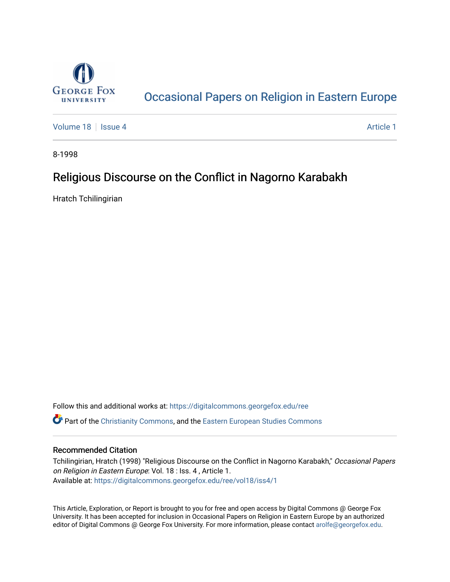

# [Occasional Papers on Religion in Eastern Europe](https://digitalcommons.georgefox.edu/ree)

[Volume 18](https://digitalcommons.georgefox.edu/ree/vol18) | [Issue 4](https://digitalcommons.georgefox.edu/ree/vol18/iss4) Article 1

8-1998

## Religious Discourse on the Conflict in Nagorno Karabakh

Hratch Tchilingirian

Follow this and additional works at: [https://digitalcommons.georgefox.edu/ree](https://digitalcommons.georgefox.edu/ree?utm_source=digitalcommons.georgefox.edu%2Free%2Fvol18%2Fiss4%2F1&utm_medium=PDF&utm_campaign=PDFCoverPages)  **C** Part of the [Christianity Commons,](http://network.bepress.com/hgg/discipline/1181?utm_source=digitalcommons.georgefox.edu%2Free%2Fvol18%2Fiss4%2F1&utm_medium=PDF&utm_campaign=PDFCoverPages) and the [Eastern European Studies Commons](http://network.bepress.com/hgg/discipline/362?utm_source=digitalcommons.georgefox.edu%2Free%2Fvol18%2Fiss4%2F1&utm_medium=PDF&utm_campaign=PDFCoverPages)

### Recommended Citation

Tchilingirian, Hratch (1998) "Religious Discourse on the Conflict in Nagorno Karabakh," Occasional Papers on Religion in Eastern Europe: Vol. 18 : Iss. 4 , Article 1. Available at: [https://digitalcommons.georgefox.edu/ree/vol18/iss4/1](https://digitalcommons.georgefox.edu/ree/vol18/iss4/1?utm_source=digitalcommons.georgefox.edu%2Free%2Fvol18%2Fiss4%2F1&utm_medium=PDF&utm_campaign=PDFCoverPages) 

This Article, Exploration, or Report is brought to you for free and open access by Digital Commons @ George Fox University. It has been accepted for inclusion in Occasional Papers on Religion in Eastern Europe by an authorized editor of Digital Commons @ George Fox University. For more information, please contact [arolfe@georgefox.edu.](mailto:arolfe@georgefox.edu)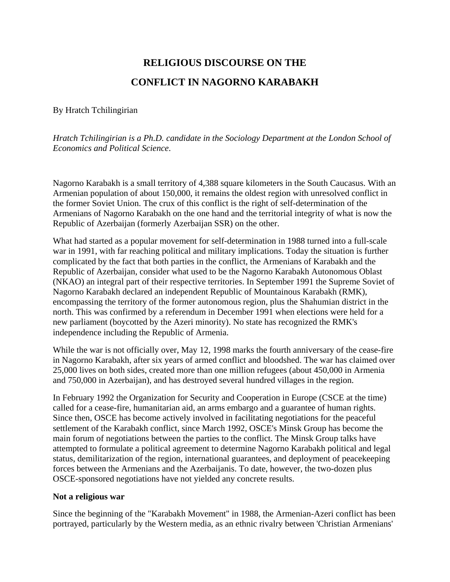# **RELIGIOUS DISCOURSE ON THE CONFLICT IN NAGORNO KARABAKH**

## <span id="page-1-0"></span>By Hratch Tchilingirian

*Hratch Tchilingirian is a Ph.D. candidate in the Sociology Department at the London School of Economics and Political Science*.

Nagorno Karabakh is a small territory of 4,388 square kilometers in the South Caucasus. With an Armenian population of about 150,000, it remains the oldest region with unresolved conflict in the former Soviet Union. The crux of this conflict is the right of self-determination of the Armenians of Nagorno Karabakh on the one hand and the territorial integrity of what is now the Republic of Azerbaijan (formerly Azerbaijan SSR) on the other.

What had started as a popular movement for self-determination in 1988 turned into a full-scale war in 1991, with far reaching political and military implications. Today the situation is further complicated by the fact that both parties in the conflict, the Armenians of Karabakh and the Republic of Azerbaijan, consider what used to be the Nagorno Karabakh Autonomous Oblast (NKAO) an integral part of their respective territories. In September 1991 the Supreme Soviet of Nagorno Karabakh declared an independent Republic of Mountainous Karabakh (RMK), encompassing the territory of the former autonomous region, plus the Shahumian district in the north. This was confirmed by a referendum in December 1991 when elections were held for a new parliament (boycotted by the Azeri minority). No state has recognized the RMK's independence including the Republic of Armenia.

While the war is not officially over, May 12, 1998 marks the fourth anniversary of the cease-fire in Nagorno Karabakh, after six years of armed conflict and bloodshed. The war has claimed over 25,000 lives on both sides, created more than one million refugees (about 450,000 in Armenia and 750,000 in Azerbaijan), and has destroyed several hundred villages in the region.

In February 1992 the Organization for Security and Cooperation in Europe (CSCE at the time) called for a cease-fire, humanitarian aid, an arms embargo and a guarantee of human rights. Since then, OSCE has become actively involved in facilitating negotiations for the peaceful settlement of the Karabakh conflict, since March 1992, OSCE's Minsk Group has become the main forum of negotiations between the parties to the conflict. The Minsk Group talks have attempted to formulate a political agreement to determine Nagorno Karabakh political and legal status, demilitarization of the region, international guarantees, and deployment of peacekeeping forces between the Armenians and the Azerbaijanis. To date, however, the two-dozen plus OSCE-sponsored negotiations have not yielded any concrete results.

## **Not a religious war**

Since the beginning of the "Karabakh Movement" in 1988, the Armenian-Azeri conflict has been portrayed, particularly by the Western media, as an ethnic rivalry between 'Christian Armenians'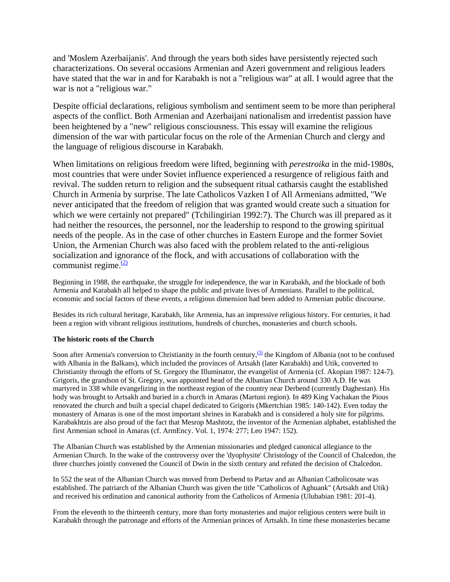and 'Moslem Azerbaijanis'. And through the years both sides have persistently rejected such characterizations. On several occasions Armenian and Azeri government and religious leaders have stated that the war in and for Karabakh is not a "religious war" at all. I would agree that the war is not a "religious war."

Despite official declarations, religious symbolism and sentiment seem to be more than peripheral aspects of the conflict. Both Armenian and Azerbaijani nationalism and irredentist passion have been heightened by a "new" religious consciousness. This essay will examine the religious dimension of the war with particular focus on the role of the Armenian Church and clergy and the language of religious discourse in Karabakh.

When limitations on religious freedom were lifted, beginning with *perestroika* in the mid-1980s, most countries that were under Soviet influence experienced a resurgence of religious faith and revival. The sudden return to religion and the subsequent ritual catharsis caught the established Church in Armenia by surprise. The late Catholicos Vazken I of All Armenians admitted, "We never anticipated that the freedom of religion that was granted would create such a situation for which we were certainly not prepared" (Tchilingirian 1992:7). The Church was ill prepared as it had neither the resources, the personnel, nor the leadership to respond to the growing spiritual needs of the people. As in the case of other churches in Eastern Europe and the former Soviet Union, the Armenian Church was also faced with the problem related to the anti-religious socialization and ignorance of the flock, and with accusations of collaboration with the communist regime. $\frac{(2)}{2}$  $\frac{(2)}{2}$  $\frac{(2)}{2}$ 

Beginning in 1988, the earthquake, the struggle for independence, the war in Karabakh, and the blockade of both Armenia and Karabakh all helped to shape the public and private lives of Armenians. Parallel to the political, economic and social factors of these events, a religious dimension had been added to Armenian public discourse.

Besides its rich cultural heritage, Karabakh, like Armenia, has an impressive religious history. For centuries, it had been a region with vibrant religious institutions, hundreds of churches, monasteries and church schools.

#### **The historic roots of the Church**

Soon after Armenia's conversion to Christianity in the fourth century, $\frac{(3)}{2}$  $\frac{(3)}{2}$  $\frac{(3)}{2}$  the Kingdom of Albania (not to be confused with Albania in the Balkans), which included the provinces of Artsakh (later Karabakh) and Utik, converted to Christianity through the efforts of St. Gregory the Illuminator, the evangelist of Armenia (cf. Akopian 1987: 124-7). Grigoris, the grandson of St. Gregory, was appointed head of the Albanian Church around 330 A.D. He was martyred in 338 while evangelizing in the northeast region of the country near Derbend (currently Daghestan). His body was brought to Artsakh and buried in a church in Amaras (Martuni region). In 489 King Vachakan the Pious renovated the church and built a special chapel dedicated to Grigoris (Mkertchian 1985: 140-142). Even today the monastery of Amaras is one of the most important shrines in Karabakh and is considered a holy site for pilgrims. Karabakhtzis are also proud of the fact that Mesrop Mashtotz, the inventor of the Armenian alphabet, established the first Armenian school in Amaras (cf. ArmEncy. Vol. 1, 1974: 277; Leo 1947: 152).

The Albanian Church was established by the Armenian missionaries and pledged canonical allegiance to the Armenian Church. In the wake of the controversy over the 'dyophysite' Christology of the Council of Chalcedon, the three churches jointly convened the Council of Dwin in the sixth century and refuted the decision of Chalcedon.

In 552 the seat of the Albanian Church was moved from Derbend to Partav and an Albanian Catholicosate was established. The patriarch of the Albanian Church was given the title "Catholicos of Aghuank" (Artsakh and Utik) and received his ordination and canonical authority from the Catholicos of Armenia (Ulubabian 1981: 201-4).

From the eleventh to the thirteenth century, more than forty monasteries and major religious centers were built in Karabakh through the patronage and efforts of the Armenian princes of Artsakh. In time these monasteries became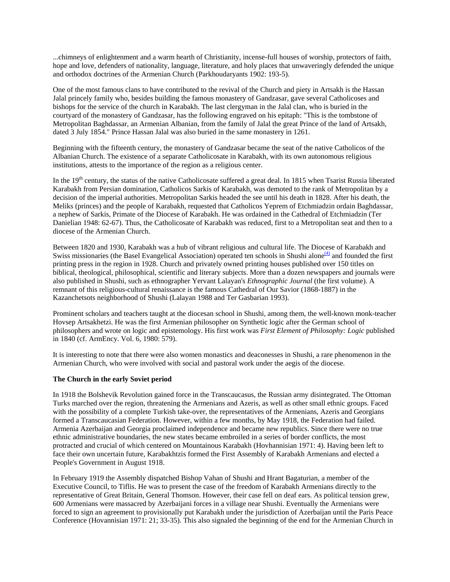...chimneys of enlightenment and a warm hearth of Christianity, incense-full houses of worship, protectors of faith, hope and love, defenders of nationality, language, literature, and holy places that unwaveringly defended the unique and orthodox doctrines of the Armenian Church (Parkhoudaryants 1902: 193-5).

One of the most famous clans to have contributed to the revival of the Church and piety in Artsakh is the Hassan Jalal princely family who, besides building the famous monastery of Gandzasar, gave several Catholicoses and bishops for the service of the church in Karabakh. The last clergyman in the Jalal clan, who is buried in the courtyard of the monastery of Gandzasar, has the following engraved on his epitaph: "This is the tombstone of Metropolitan Baghdassar, an Armenian Albanian, from the family of Jalal the great Prince of the land of Artsakh, dated 3 July 1854." Prince Hassan Jalal was also buried in the same monastery in 1261.

Beginning with the fifteenth century, the monastery of Gandzasar became the seat of the native Catholicos of the Albanian Church. The existence of a separate Catholicosate in Karabakh, with its own autonomous religious institutions, attests to the importance of the region as a religious center.

In the 19<sup>th</sup> century, the status of the native Catholicosate suffered a great deal. In 1815 when Tsarist Russia liberated Karabakh from Persian domination, Catholicos Sarkis of Karabakh, was demoted to the rank of Metropolitan by a decision of the imperial authorities. Metropolitan Sarkis headed the see until his death in 1828. After his death, the Meliks (princes) and the people of Karabakh, requested that Catholicos Yeprem of Etchmiadzin ordain Baghdassar, a nephew of Sarkis, Primate of the Diocese of Karabakh. He was ordained in the Cathedral of Etchmiadzin (Ter Danielian 1948: 62-67). Thus, the Catholicosate of Karabakh was reduced, first to a Metropolitan seat and then to a diocese of the Armenian Church.

Between 1820 and 1930, Karabakh was a hub of vibrant religious and cultural life. The Diocese of Karabakh and Swiss missionaries (the Basel Evangelical Association) operated ten schools in Shushi alone<sup>[\(4\)](#page-1-0)</sup> and founded the first printing press in the region in 1928. Church and privately owned printing houses published over 150 titles on biblical, theological, philosophical, scientific and literary subjects. More than a dozen newspapers and journals were also published in Shushi, such as ethnographer Yervant Lalayan's *Ethnographic Journal* (the first volume). A remnant of this religious-cultural renaissance is the famous Cathedral of Our Savior (1868-1887) in the Kazanchetsots neighborhood of Shushi (Lalayan 1988 and Ter Gasbarian 1993).

Prominent scholars and teachers taught at the diocesan school in Shushi, among them, the well-known monk-teacher Hovsep Artsakhetzi. He was the first Armenian philosopher on Synthetic logic after the German school of philosophers and wrote on logic and epistemology. His first work was *First Element of Philosophy: Logic* published in 1840 (cf. ArmEncy. Vol. 6, 1980: 579).

It is interesting to note that there were also women monastics and deaconesses in Shushi, a rare phenomenon in the Armenian Church, who were involved with social and pastoral work under the aegis of the diocese.

#### **The Church in the early Soviet period**

In 1918 the Bolshevik Revolution gained force in the Transcaucasus, the Russian army disintegrated. The Ottoman Turks marched over the region, threatening the Armenians and Azeris, as well as other small ethnic groups. Faced with the possibility of a complete Turkish take-over, the representatives of the Armenians, Azeris and Georgians formed a Transcaucasian Federation. However, within a few months, by May 1918, the Federation had failed. Armenia Azerbaijan and Georgia proclaimed independence and became new republics. Since there were no true ethnic administrative boundaries, the new states became embroiled in a series of border conflicts, the most protracted and crucial of which centered on Mountainous Karabakh (Hovhannisian 1971: 4). Having been left to face their own uncertain future, Karabakhtzis formed the First Assembly of Karabakh Armenians and elected a People's Government in August 1918.

In February 1919 the Assembly dispatched Bishop Vahan of Shushi and Hrant Bagaturian, a member of the Executive Council, to Tiflis. He was to present the case of the freedom of Karabakh Armenians directly to the representative of Great Britain, General Thomson. However, their case fell on deaf ears. As political tension grew, 600 Armenians were massacred by Azerbaijani forces in a village near Shushi. Eventually the Armenians were forced to sign an agreement to provisionally put Karabakh under the jurisdiction of Azerbaijan until the Paris Peace Conference (Hovannisian 1971: 21; 33-35). This also signaled the beginning of the end for the Armenian Church in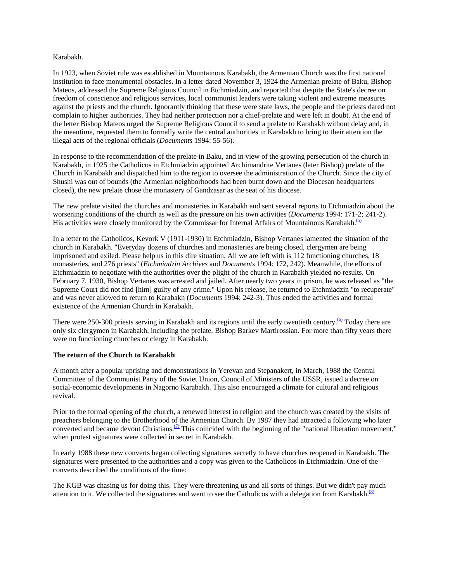#### Karabakh.

In 1923, when Soviet rule was established in Mountainous Karabakh, the Armenian Church was the first national institution to face monumental obstacles. In a letter dated November 3, 1924 the Armenian prelate of Baku, Bishop Mateos, addressed the Supreme Religious Council in Etchmiadzin, and reported that despite the State's decree on freedom of conscience and religious services, local communist leaders were taking violent and extreme measures against the priests and the church. Ignorantly thinking that these were state laws, the people and the priests dared not complain to higher authorities. They had neither protection nor a chief-prelate and were left in doubt. At the end of the letter Bishop Mateos urged the Supreme Religious Council to send a prelate to Karabakh without delay and, in the meantime, requested them to formally write the central authorities in Karabakh to bring to their attention the illegal acts of the regional officials (*Documents* 1994: 55-56).

In response to the recommendation of the prelate in Baku, and in view of the growing persecution of the church in Karabakh, in 1925 the Catholicos in Etchmiadzin appointed Archimandrite Vertanes (later Bishop) prelate of the Church in Karabakh and dispatched him to the region to oversee the administration of the Church. Since the city of Shushi was out of bounds (the Armenian neighborhoods had been burnt down and the Diocesan headquarters closed), the new prelate chose the monastery of Gandzasar as the seat of his diocese.

The new prelate visited the churches and monasteries in Karabakh and sent several reports to Etchmiadzin about the worsening conditions of the church as well as the pressure on his own activities (*Documents* 1994: 171-2; 241-2). His activities were closely monitored by the Commissar for Internal Affairs of Mountainous Karabakh.<sup>[\(5\)](#page-1-0)</sup>

In a letter to the Catholicos, Kevork V (1911-1930) in Etchmiadzin, Bishop Vertanes lamented the situation of the church in Karabakh. "Everyday dozens of churches and monasteries are being closed, clergymen are being imprisoned and exiled. Please help us in this dire situation. All we are left with is 112 functioning churches, 18 monasteries, and 276 priests" (*Etchmiadzin Archives* and *Documents* 1994: 172, 242). Meanwhile, the efforts of Etchmiadzin to negotiate with the authorities over the plight of the church in Karabakh yielded no results. On February 7, 1930, Bishop Vertanes was arrested and jailed. After nearly two years in prison, he was released as "the Supreme Court did not find [him] guilty of any crime." Upon his release, he returned to Etchmiadzin "to recuperate" and was never allowed to return to Karabakh (*Documents* 1994: 242-3). Thus ended the activities and formal existence of the Armenian Church in Karabakh.

There were 250-300 priests serving in Karabakh and its regions until the early twentieth century.<sup>[\(6\)](#page-1-0)</sup> Today there are only six clergymen in Karabakh, including the prelate, Bishop Barkev Martirossian. For more than fifty years there were no functioning churches or clergy in Karabakh.

#### **The return of the Church to Karabakh**

A month after a popular uprising and demonstrations in Yerevan and Stepanakert, in March, 1988 the Central Committee of the Communist Party of the Soviet Union, Council of Ministers of the USSR, issued a decree on social-economic developments in Nagorno Karabakh. This also encouraged a climate for cultural and religious revival.

Prior to the formal opening of the church, a renewed interest in religion and the church was created by the visits of preachers belonging to the Brotherhood of the Armenian Church. By 1987 they had attracted a following who later converted and became devout Christians.<sup>[\(7\)](#page-1-0)</sup> This coincided with the beginning of the "national liberation movement," when protest signatures were collected in secret in Karabakh.

In early 1988 these new converts began collecting signatures secretly to have churches reopened in Karabakh. The signatures were presented to the authorities and a copy was given to the Catholicos in Etchmiadzin. One of the converts described the conditions of the time:

The KGB was chasing us for doing this. They were threatening us and all sorts of things. But we didn't pay much attention to it. We collected the signatures and went to see the Catholicos with a delegation from Karabakh. $\frac{8}{10}$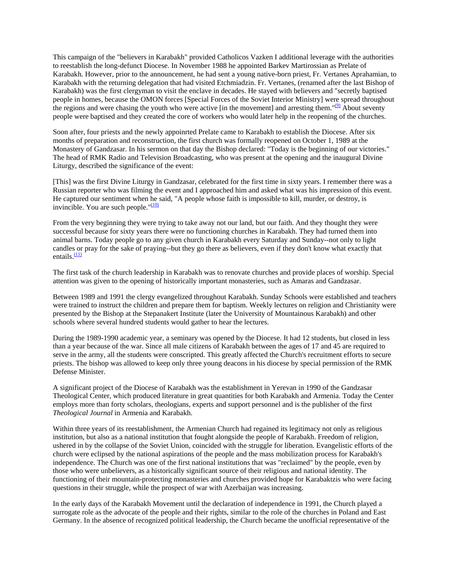This campaign of the "believers in Karabakh" provided Catholicos Vazken I additional leverage with the authorities to reestablish the long-defunct Diocese. In November 1988 he appointed Barkev Martirossian as Prelate of Karabakh. However, prior to the announcement, he had sent a young native-born priest, Fr. Vertanes Aprahamian, to Karabakh with the returning delegation that had visited Etchmiadzin. Fr. Vertanes, (renamed after the last Bishop of Karabakh) was the first clergyman to visit the enclave in decades. He stayed with believers and "secretly baptised people in homes, because the OMON forces [Special Forces of the Soviet Interior Ministry] were spread throughout the regions and were chasing the youth who were active [in the movement] and arresting them." $(9)$  About seventy people were baptised and they created the core of workers who would later help in the reopening of the churches.

Soon after, four priests and the newly appoinrted Prelate came to Karabakh to establish the Diocese. After six months of preparation and reconstruction, the first church was formally reopened on October 1, 1989 at the Monastery of Gandzasar. In his sermon on that day the Bishop declared: "Today is the beginning of our victories." The head of RMK Radio and Television Broadcasting, who was present at the opening and the inaugural Divine Liturgy, described the significance of the event:

[This] was the first Divine Liturgy in Gandzasar, celebrated for the first time in sixty years. I remember there was a Russian reporter who was filming the event and I approached him and asked what was his impression of this event. He captured our sentiment when he said, "A people whose faith is impossible to kill, murder, or destroy, is invincible. You are such people." $\frac{(10)}{2}$ 

From the very beginning they were trying to take away not our land, but our faith. And they thought they were successful because for sixty years there were no functioning churches in Karabakh. They had turned them into animal barns. Today people go to any given church in Karabakh every Saturday and Sunday--not only to light candles or pray for the sake of praying--but they go there as believers, even if they don't know what exactly that entails. $\frac{(11)}{2}$  $\frac{(11)}{2}$  $\frac{(11)}{2}$ 

The first task of the church leadership in Karabakh was to renovate churches and provide places of worship. Special attention was given to the opening of historically important monasteries, such as Amaras and Gandzasar.

Between 1989 and 1991 the clergy evangelized throughout Karabakh. Sunday Schools were established and teachers were trained to instruct the children and prepare them for baptism. Weekly lectures on religion and Christianity were presented by the Bishop at the Stepanakert Institute (later the University of Mountainous Karabakh) and other schools where several hundred students would gather to hear the lectures.

During the 1989-1990 academic year, a seminary was opened by the Diocese. It had 12 students, but closed in less than a year because of the war. Since all male citizens of Karabakh between the ages of 17 and 45 are required to serve in the army, all the students were conscripted. This greatly affected the Church's recruitment efforts to secure priests. The bishop was allowed to keep only three young deacons in his diocese by special permission of the RMK Defense Minister.

A significant project of the Diocese of Karabakh was the establishment in Yerevan in 1990 of the Gandzasar Theological Center, which produced literature in great quantities for both Karabakh and Armenia. Today the Center employs more than forty scholars, theologians, experts and support personnel and is the publisher of the first *Theological Journal* in Armenia and Karabakh.

Within three years of its reestablishment, the Armenian Church had regained its legitimacy not only as religious institution, but also as a national institution that fought alongside the people of Karabakh. Freedom of religion, ushered in by the collapse of the Soviet Union, coincided with the struggle for liberation. Evangelistic efforts of the church were eclipsed by the national aspirations of the people and the mass mobilization process for Karabakh's independence. The Church was one of the first national institutions that was "reclaimed" by the people, even by those who were unbelievers, as a historically significant source of their religious and national identity. The functioning of their mountain-protecting monasteries and churches provided hope for Karabaktzis who were facing questions in their struggle, while the prospect of war with Azerbaijan was increasing.

In the early days of the Karabakh Movement until the declaration of independence in 1991, the Church played a surrogate role as the advocate of the people and their rights, similar to the role of the churches in Poland and East Germany. In the absence of recognized political leadership, the Church became the unofficial representative of the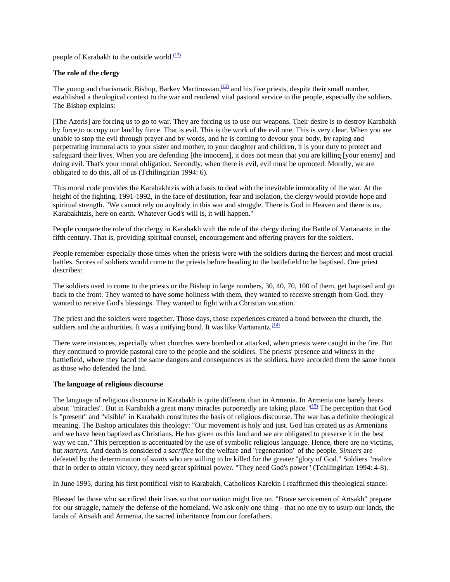people of Karabakh to the outside world. $\frac{(12)}{2}$  $\frac{(12)}{2}$  $\frac{(12)}{2}$ 

#### **The role of the clergy**

The young and charismatic Bishop, Barkev Martirossian,<sup>(13)</sup> and his five priests, despite their small number, established a theological context to the war and rendered vital pastoral service to the people, especially the soldiers. The Bishop explains:

[The Azeris] are forcing us to go to war. They are forcing us to use our weapons. Their desire is to destroy Karabakh by force,to occupy our land by force. That is evil. This is the work of the evil one. This is very clear. When you are unable to stop the evil through prayer and by words, and he is coming to devour your body, by raping and perpetrating immoral acts to your sister and mother, to your daughter and children, it is your duty to protect and safeguard their lives. When you are defending [the innocent], it does not mean that you are killing [your enemy] and doing evil. That's your moral obligation. Secondly, when there is evil, evil must be uprooted. Morally, we are obligated to do this, all of us (Tchilingirian 1994: 6).

This moral code provides the Karabakhtzis with a basis to deal with the inevitable immorality of the war. At the height of the fighting, 1991-1992, in the face of destitution, fear and isolation, the clergy would provide hope and spiritual strength. "We cannot rely on anybody in this war and struggle. There is God in Heaven and there is us, Karabakhtzis, here on earth. Whatever God's will is, it will happen."

People compare the role of the clergy in Karabakh with the role of the clergy during the Battle of Vartanantz in the fifth century. That is, providing spiritual counsel, encouragement and offering prayers for the soldiers.

People remember especially those times when the priests were with the soldiers during the fiercest and most crucial battles. Scores of soldiers would come to the priests before heading to the battlefield to be baptised. One priest describes:

The soldiers used to come to the priests or the Bishop in large numbers, 30, 40, 70, 100 of them, get baptised and go back to the front. They wanted to have some holiness with them, they wanted to receive strength from God, they wanted to receive God's blessings. They wanted to fight with a Christian vocation.

The priest and the soldiers were together. Those days, those experiences created a bond between the church, the soldiers and the authorities. It was a unifying bond. It was like Vartanantz. $\frac{(14)}{(14)}$  $\frac{(14)}{(14)}$  $\frac{(14)}{(14)}$ 

There were instances, especially when churches were bombed or attacked, when priests were caught in the fire. But they continued to provide pastoral care to the people and the soldiers. The priests' presence and witness in the battlefield, where they faced the same dangers and consequences as the soldiers, have accorded them the same honor as those who defended the land.

#### **The language of religious discourse**

The language of religious discourse in Karabakh is quite different than in Armenia. In Armenia one barely hears about "miracles". But in Karabakh a great many miracles purportedly are taking place."<sup>(15)</sup> The perception that God is "present" and "visible" in Karabakh constitutes the basis of religious discourse. The war has a definite theological meaning. The Bishop articulates this theology: "Our movement is holy and just. God has created us as Armenians and we have been baptized as Christians. He has given us this land and we are obligated to preserve it in the best way we can." This perception is accentuated by the use of symbolic religious language. Hence, there are no victims, but *martyrs.* And death is considered a *sacrifice* for the welfare and "regeneration" of the people. *Sinners* are defeated by the determination of *saints* who are willing to be killed for the greater "glory of God." Soldiers "realize that in order to attain victory, they need great spiritual power. "They need God's power" (Tchilingirian 1994: 4-8).

In June 1995, during his first pontifical visit to Karabakh, Catholicos Karekin I reaffirmed this theological stance:

Blessed be those who sacrificed their lives so that our nation might live on. "Brave servicemen of Artsakh" prepare for our struggle, namely the defense of the homeland. We ask only one thing - that no one try to usurp our lands, the lands of Artsakh and Armenia, the sacred inheritance from our forefathers.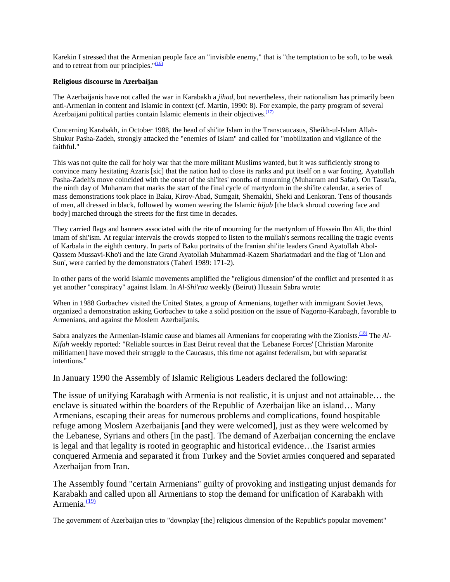Karekin I stressed that the Armenian people face an "invisible enemy," that is "the temptation to be soft, to be weak and to retreat from our principles." $(16)$ 

#### **Religious discourse in Azerbaijan**

The Azerbaijanis have not called the war in Karabakh a *jihad*, but nevertheless, their nationalism has primarily been anti-Armenian in content and Islamic in context (cf. Martin, 1990: 8). For example, the party program of several Azerbaijani political parties contain Islamic elements in their objectives. $\frac{(17)}{(17)}$  $\frac{(17)}{(17)}$  $\frac{(17)}{(17)}$ 

Concerning Karabakh, in October 1988, the head of shi'ite Islam in the Transcaucasus, Sheikh-ul-Islam Allah-Shukur Pasha-Zadeh, strongly attacked the "enemies of Islam" and called for "mobilization and vigilance of the faithful."

This was not quite the call for holy war that the more militant Muslims wanted, but it was sufficiently strong to convince many hesitating Azaris [sic] that the nation had to close its ranks and put itself on a war footing. Ayatollah Pasha-Zadeh's move coincided with the onset of the shi'ites' months of mourning (Muharram and Safar). On Tassu'a, the ninth day of Muharram that marks the start of the final cycle of martyrdom in the shi'ite calendar, a series of mass demonstrations took place in Baku, Kirov-Abad, Sumgait, Shemakhi, Sheki and Lenkoran. Tens of thousands of men, all dressed in black, followed by women wearing the Islamic *hijab* [the black shroud covering face and body] marched through the streets for the first time in decades.

They carried flags and banners associated with the rite of mourning for the martyrdom of Hussein Ibn Ali, the third imam of shi'ism. At regular intervals the crowds stopped to listen to the mullah's sermons recalling the tragic events of Karbala in the eighth century. In parts of Baku portraits of the Iranian shi'ite leaders Grand Ayatollah Abol-Qassem Mussavi-Kho'i and the late Grand Ayatollah Muhammad-Kazem Shariatmadari and the flag of 'Lion and Sun', were carried by the demonstrators (Taheri 1989: 171-2).

In other parts of the world Islamic movements amplified the "religious dimension"of the conflict and presented it as yet another "conspiracy" against Islam. In *Al-Shi'raa* weekly (Beirut) Hussain Sabra wrote:

When in 1988 Gorbachev visited the United States, a group of Armenians, together with immigrant Soviet Jews, organized a demonstration asking Gorbachev to take a solid position on the issue of Nagorno-Karabagh, favorable to Armenians, and against the Moslem Azerbaijanis.

Sabra analyzes the Armenian-Islamic cause and blames all Armenians for cooperating with the Zionists.<sup>(18)</sup> The *Al*-*Kifah* weekly reported: "Reliable sources in East Beirut reveal that the 'Lebanese Forces' [Christian Maronite militiamen] have moved their struggle to the Caucasus, this time not against federalism, but with separatist intentions."

In January 1990 the Assembly of Islamic Religious Leaders declared the following:

The issue of unifying Karabagh with Armenia is not realistic, it is unjust and not attainable… the enclave is situated within the boarders of the Republic of Azerbaijan like an island… Many Armenians, escaping their areas for numerous problems and complications, found hospitable refuge among Moslem Azerbaijanis [and they were welcomed], just as they were welcomed by the Lebanese, Syrians and others [in the past]. The demand of Azerbaijan concerning the enclave is legal and that legality is rooted in geographic and historical evidence…the Tsarist armies conquered Armenia and separated it from Turkey and the Soviet armies conquered and separated Azerbaijan from Iran.

The Assembly found "certain Armenians" guilty of provoking and instigating unjust demands for Karabakh and called upon all Armenians to stop the demand for unification of Karabakh with Armenia. $\frac{(19)}{2}$  $\frac{(19)}{2}$  $\frac{(19)}{2}$ 

The government of Azerbaijan tries to "downplay [the] religious dimension of the Republic's popular movement"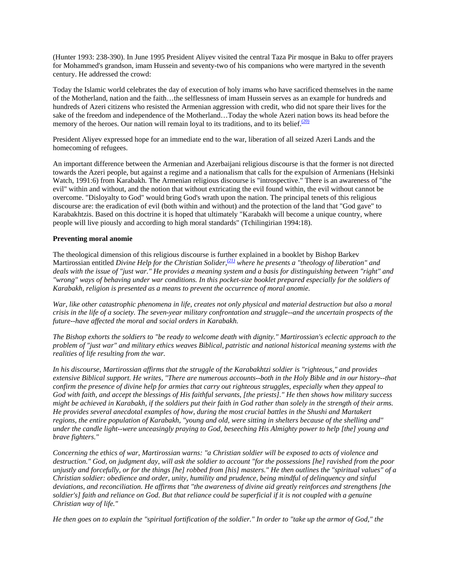(Hunter 1993: 238-390). In June 1995 President Aliyev visited the central Taza Pir mosque in Baku to offer prayers for Mohammed's grandson, imam Hussein and seventy-two of his companions who were martyred in the seventh century. He addressed the crowd:

Today the Islamic world celebrates the day of execution of holy imams who have sacrificed themselves in the name of the Motherland, nation and the faith…the selflessness of imam Hussein serves as an example for hundreds and hundreds of Azeri citizens who resisted the Armenian aggression with credit, who did not spare their lives for the sake of the freedom and independence of the Motherland…Today the whole Azeri nation bows its head before the memory of the heroes. Our nation will remain loyal to its traditions, and to its belief. $\frac{(20)}{20}$ 

President Aliyev expressed hope for an immediate end to the war, liberation of all seized Azeri Lands and the homecoming of refugees.

An important difference between the Armenian and Azerbaijani religious discourse is that the former is not directed towards the Azeri people, but against a regime and a nationalism that calls for the expulsion of Armenians (Helsinki Watch, 1991:6) from Karabakh. The Armenian religious discourse is "introspective." There is an awareness of "the evil" within and without, and the notion that without extricating the evil found within, the evil without cannot be overcome. "Disloyalty to God" would bring God's wrath upon the nation. The principal tenets of this religious discourse are: the eradication of evil (both within and without) and the protection of the land that "God gave" to Karabakhtzis. Based on this doctrine it is hoped that ultimately "Karabakh will become a unique country, where people will live piously and according to high moral standards" (Tchilingirian 1994:18).

#### **Preventing moral anomie**

The theological dimension of this religious discourse is further explained in a booklet by Bishop Barkev Martirossian entitled *Divine Help for the Christian Solider*, <sup>(21)</sup> where he presents a "theology of liberation" and *deals with the issue of "just war." He provides a meaning system and a basis for distinguishing between "right" and "wrong" ways of behaving under war conditions. In this pocket-size booklet prepared especially for the soldiers of Karabakh, religion is presented as a means to prevent the occurrence of moral anomie.*

*War, like other catastrophic phenomena in life, creates not only physical and material destruction but also a moral crisis in the life of a society. The seven-year military confrontation and struggle--and the uncertain prospects of the future--have affected the moral and social orders in Karabakh.*

*The Bishop exhorts the soldiers to "be ready to welcome death with dignity." Martirossian's eclectic approach to the problem of "just war" and military ethics weaves Biblical, patristic and national historical meaning systems with the realities of life resulting from the war.* 

*In his discourse, Martirossian affirms that the struggle of the Karabakhtzi soldier is "righteous," and provides extensive Biblical support. He writes, "There are numerous accounts--both in the Holy Bible and in our history--that confirm the presence of divine help for armies that carry out righteous struggles, especially when they appeal to God with faith, and accept the blessings of His faithful servants, [the priests]." He then shows how military success might be achieved in Karabakh, if the soldiers put their faith in God rather than solely in the strength of their arms. He provides several anecdotal examples of how, during the most crucial battles in the Shushi and Martakert regions, the entire population of Karabakh, "young and old, were sitting in shelters because of the shelling and" under the candle light--were unceasingly praying to God, beseeching His Almighty power to help [the] young and brave fighters."* 

*Concerning the ethics of war, Martirossian warns: "a Christian soldier will be exposed to acts of violence and destruction." God, on judgment day, will ask the soldier to account "for the possessions [he] ravished from the poor unjustly and forcefully, or for the things [he] robbed from [his] masters." He then outlines the "spiritual values" of a Christian soldier: obedience and order, unity, humility and prudence, being mindful of delinquency and sinful deviations, and reconciliation. He affirms that "the awareness of divine aid greatly reinforces and strengthens [the*  soldier's] faith and reliance on God. But that reliance could be superficial if it is not coupled with a genuine *Christian way of life."*

*He then goes on to explain the "spiritual fortification of the soldier." In order to "take up the armor of God," the*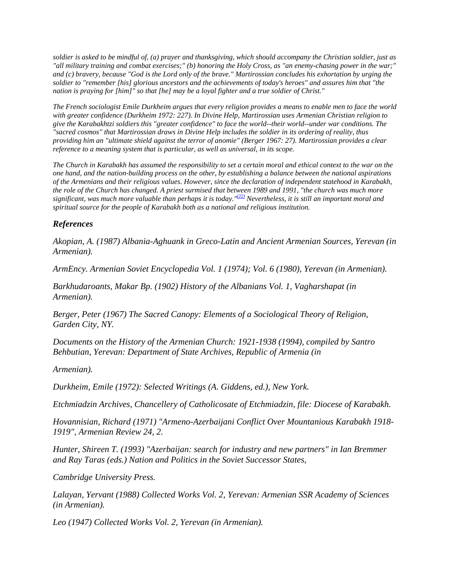*soldier is asked to be mindful of, (a) prayer and thanksgiving, which should accompany the Christian soldier, just as "all military training and combat exercises;" (b) honoring the Holy Cross, as "an enemy-chasing power in the war;" and (c) bravery, because "God is the Lord only of the brave." Martirossian concludes his exhortation by urging the soldier to "remember [his] glorious ancestors and the achievements of today's heroes" and assures him that "the nation is praying for [him]" so that [he] may be a loyal fighter and a true soldier of Christ."*

*The French sociologist Emile Durkheim argues that every religion provides a means to enable men to face the world with greater confidence (Durkheim 1972: 227). In Divine Help, Martirossian uses Armenian Christian religion to give the Karabakhtzi soldiers this "greater confidence" to face the world--their world--under war conditions. The "sacred cosmos" that Martirossian draws in Divine Help includes the soldier in its ordering of reality, thus providing him an "ultimate shield against the terror of anomie" (Berger 1967: 27). Martirossian provides a clear reference to a meaning system that is particular, as well as universal, in its scope.* 

*The Church in Karabakh has assumed the responsibility to set a certain moral and ethical context to the war on the one hand, and the nation-building process on the other, by establishing a balance between the national aspirations of the Armenians and their religious values. However, since the declaration of independent statehood in Karabakh, the role of the Church has changed. A priest surmised that between 1989 and 1991, "the church was much more significant, was much more valuable than perhaps it is today.["\(22\)](#page-1-0) Nevertheless, it is still an important moral and spiritual source for the people of Karabakh both as a national and religious institution.*

## *References*

*Akopian, A. (1987) Albania-Aghuank in Greco-Latin and Ancient Armenian Sources, Yerevan (in Armenian).* 

*ArmEncy. Armenian Soviet Encyclopedia Vol. 1 (1974); Vol. 6 (1980), Yerevan (in Armenian).* 

*Barkhudaroants, Makar Bp. (1902) History of the Albanians Vol. 1, Vagharshapat (in Armenian).* 

*Berger, Peter (1967) The Sacred Canopy: Elements of a Sociological Theory of Religion, Garden City, NY.* 

*Documents on the History of the Armenian Church: 1921-1938 (1994), compiled by Santro Behbutian, Yerevan: Department of State Archives, Republic of Armenia (in* 

*Armenian).* 

*Durkheim, Emile (1972): Selected Writings (A. Giddens, ed.), New York.* 

*Etchmiadzin Archives, Chancellery of Catholicosate of Etchmiadzin, file: Diocese of Karabakh.* 

*Hovannisian, Richard (1971) "Armeno-Azerbaijani Conflict Over Mountanious Karabakh 1918- 1919", Armenian Review 24, 2.* 

*Hunter, Shireen T. (1993) "Azerbaijan: search for industry and new partners" in Ian Bremmer and Ray Taras (eds.) Nation and Politics in the Soviet Successor States,* 

*Cambridge University Press.* 

*Lalayan, Yervant (1988) Collected Works Vol. 2, Yerevan: Armenian SSR Academy of Sciences (in Armenian).* 

*Leo (1947) Collected Works Vol. 2, Yerevan (in Armenian).*